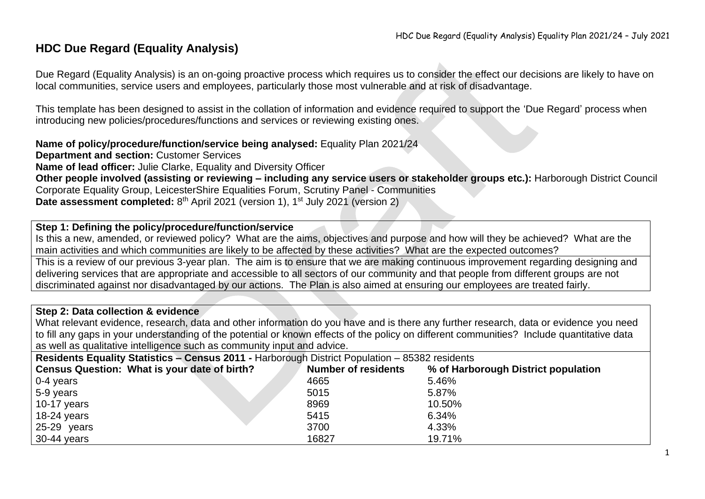## **HDC Due Regard (Equality Analysis)**

Due Regard (Equality Analysis) is an on-going proactive process which requires us to consider the effect our decisions are likely to have on local communities, service users and employees, particularly those most vulnerable and at risk of disadvantage.

This template has been designed to assist in the collation of information and evidence required to support the 'Due Regard' process when introducing new policies/procedures/functions and services or reviewing existing ones.

**Name of policy/procedure/function/service being analysed:** Equality Plan 2021/24

**Department and section:** Customer Services

**Name of lead officer:** Julie Clarke, Equality and Diversity Officer

**Other people involved (assisting or reviewing – including any service users or stakeholder groups etc.):** Harborough District Council Corporate Equality Group, LeicesterShire Equalities Forum, Scrutiny Panel - Communities **Date assessment completed:** 8<sup>th</sup> April 2021 (version 1), 1<sup>st</sup> July 2021 (version 2)

### **Step 1: Defining the policy/procedure/function/service**

Is this a new, amended, or reviewed policy? What are the aims, objectives and purpose and how will they be achieved? What are the main activities and which communities are likely to be affected by these activities? What are the expected outcomes?

This is a review of our previous 3-year plan. The aim is to ensure that we are making continuous improvement regarding designing and delivering services that are appropriate and accessible to all sectors of our community and that people from different groups are not discriminated against nor disadvantaged by our actions. The Plan is also aimed at ensuring our employees are treated fairly.

#### **Step 2: Data collection & evidence**

What relevant evidence, research, data and other information do you have and is there any further research, data or evidence you need to fill any gaps in your understanding of the potential or known effects of the policy on different communities? Include quantitative data as well as qualitative intelligence such as community input and advice.

**Residents Equality Statistics – Census 2011 -** Harborough District Population – 85382 residents

| Census Question: What is your date of birth? | <b>Number of residents</b> | % of Harborough District population |
|----------------------------------------------|----------------------------|-------------------------------------|
| $0-4$ years                                  | 4665                       | 5.46%                               |
| 5-9 years                                    | 5015                       | 5.87%                               |
| 10-17 years                                  | 8969                       | 10.50%                              |
| 18-24 years                                  | 5415                       | 6.34%                               |
| $25-29$ years                                | 3700                       | 4.33%                               |
| 30-44 years                                  | 16827                      | 19.71%                              |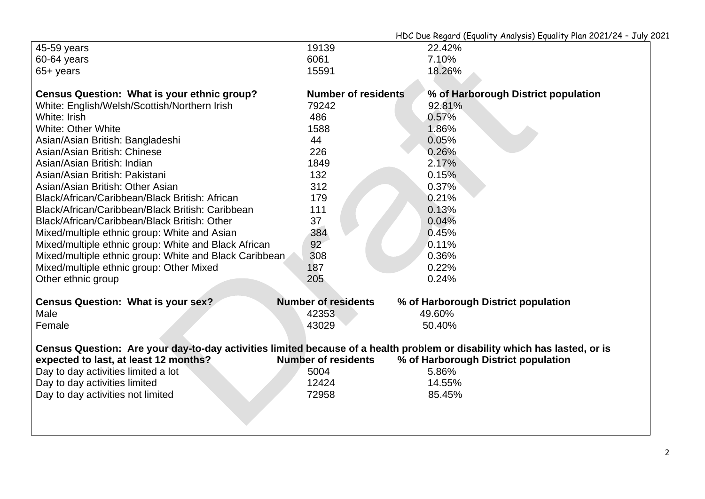|                                                                                                                           |                            | $1000$ Due Regul a (Equality Milary 313) Equality Flan EOE1/ ET 3 ary |
|---------------------------------------------------------------------------------------------------------------------------|----------------------------|-----------------------------------------------------------------------|
| 45-59 years                                                                                                               | 19139                      | 22.42%                                                                |
| 60-64 years                                                                                                               | 6061                       | 7.10%                                                                 |
| $65 + \text{years}$                                                                                                       | 15591                      | 18.26%                                                                |
| Census Question: What is your ethnic group?                                                                               | <b>Number of residents</b> | % of Harborough District population                                   |
| White: English/Welsh/Scottish/Northern Irish                                                                              | 79242                      | 92.81%                                                                |
| White: Irish                                                                                                              | 486                        | 0.57%                                                                 |
| <b>White: Other White</b>                                                                                                 | 1588                       | 1.86%                                                                 |
| Asian/Asian British: Bangladeshi                                                                                          | 44                         | 0.05%                                                                 |
| Asian/Asian British: Chinese                                                                                              | 226                        | 0.26%                                                                 |
| Asian/Asian British: Indian                                                                                               | 1849                       | 2.17%                                                                 |
| Asian/Asian British: Pakistani                                                                                            | 132                        | 0.15%                                                                 |
| Asian/Asian British: Other Asian                                                                                          | 312                        | 0.37%                                                                 |
| Black/African/Caribbean/Black British: African                                                                            | 179                        | 0.21%                                                                 |
| Black/African/Caribbean/Black British: Caribbean                                                                          | 111                        | 0.13%                                                                 |
| Black/African/Caribbean/Black British: Other                                                                              | 37                         | 0.04%                                                                 |
| Mixed/multiple ethnic group: White and Asian                                                                              | 384                        | 0.45%                                                                 |
| Mixed/multiple ethnic group: White and Black African                                                                      | 92                         | 0.11%                                                                 |
| Mixed/multiple ethnic group: White and Black Caribbean                                                                    | 308                        | 0.36%                                                                 |
| Mixed/multiple ethnic group: Other Mixed                                                                                  | 187                        | 0.22%                                                                 |
| Other ethnic group                                                                                                        | 205                        | 0.24%                                                                 |
| <b>Census Question: What is your sex?</b>                                                                                 | <b>Number of residents</b> | % of Harborough District population                                   |
| Male                                                                                                                      | 42353                      | 49.60%                                                                |
| Female                                                                                                                    | 43029                      | 50.40%                                                                |
| Census Question: Are your day-to-day activities limited because of a health problem or disability which has lasted, or is |                            |                                                                       |
| expected to last, at least 12 months?                                                                                     | <b>Number of residents</b> | % of Harborough District population                                   |
| Day to day activities limited a lot                                                                                       | 5004                       | 5.86%                                                                 |
| Day to day activities limited                                                                                             | 12424                      | 14.55%                                                                |
| Day to day activities not limited                                                                                         | 72958                      | 85.45%                                                                |
|                                                                                                                           |                            |                                                                       |
|                                                                                                                           |                            |                                                                       |
|                                                                                                                           |                            |                                                                       |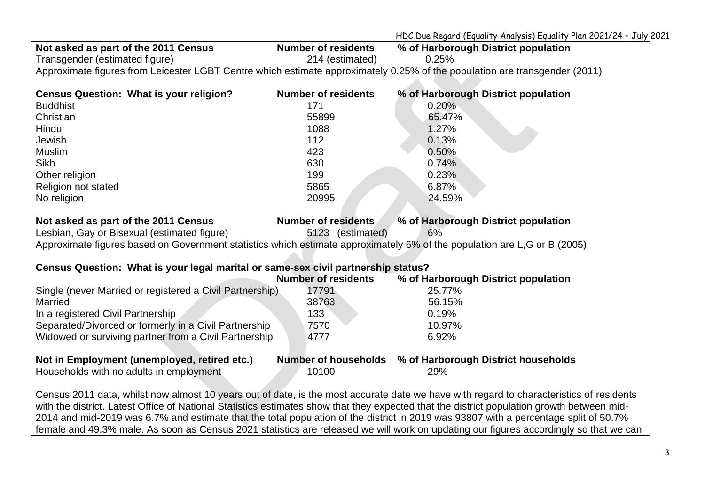HDC Due Regard (Equality Analysis) Equality Plan 2021/24 – July 2021

| Not asked as part of the 2011 Census                                                                                                       | <b>Number of residents</b> | % of Harborough District population                                                                                                  |  |  |  |
|--------------------------------------------------------------------------------------------------------------------------------------------|----------------------------|--------------------------------------------------------------------------------------------------------------------------------------|--|--|--|
| Transgender (estimated figure)                                                                                                             | 214 (estimated)            | 0.25%                                                                                                                                |  |  |  |
| Approximate figures from Leicester LGBT Centre which estimate approximately 0.25% of the population are transgender (2011)                 |                            |                                                                                                                                      |  |  |  |
|                                                                                                                                            |                            |                                                                                                                                      |  |  |  |
| <b>Census Question: What is your religion?</b>                                                                                             | <b>Number of residents</b> | % of Harborough District population                                                                                                  |  |  |  |
| <b>Buddhist</b>                                                                                                                            | 171                        | 0.20%                                                                                                                                |  |  |  |
| Christian                                                                                                                                  | 55899                      | 65.47%                                                                                                                               |  |  |  |
| Hindu                                                                                                                                      | 1088                       | 1.27%                                                                                                                                |  |  |  |
| Jewish                                                                                                                                     | 112                        | 0.13%                                                                                                                                |  |  |  |
| <b>Muslim</b>                                                                                                                              | 423                        | 0.50%                                                                                                                                |  |  |  |
| <b>Sikh</b>                                                                                                                                | 630                        | 0.74%                                                                                                                                |  |  |  |
| Other religion                                                                                                                             | 199                        | 0.23%                                                                                                                                |  |  |  |
| Religion not stated                                                                                                                        | 5865                       | 6.87%                                                                                                                                |  |  |  |
| No religion                                                                                                                                | 20995                      | 24.59%                                                                                                                               |  |  |  |
|                                                                                                                                            |                            |                                                                                                                                      |  |  |  |
| Not asked as part of the 2011 Census                                                                                                       | Number of residents        | % of Harborough District population                                                                                                  |  |  |  |
| Lesbian, Gay or Bisexual (estimated figure)                                                                                                | 5123 (estimated)           | 6%                                                                                                                                   |  |  |  |
| Approximate figures based on Government statistics which estimate approximately 6% of the population are L,G or B (2005)                   |                            |                                                                                                                                      |  |  |  |
|                                                                                                                                            |                            |                                                                                                                                      |  |  |  |
| Census Question: What is your legal marital or same-sex civil partnership status?                                                          | <b>Number of residents</b> | % of Harborough District population                                                                                                  |  |  |  |
| Single (never Married or registered a Civil Partnership)                                                                                   | 17791                      | 25.77%                                                                                                                               |  |  |  |
| Married                                                                                                                                    | 38763                      | 56.15%                                                                                                                               |  |  |  |
|                                                                                                                                            |                            |                                                                                                                                      |  |  |  |
| In a registered Civil Partnership                                                                                                          | 133                        | 0.19%                                                                                                                                |  |  |  |
| Separated/Divorced or formerly in a Civil Partnership                                                                                      | 7570                       | 10.97%                                                                                                                               |  |  |  |
| Widowed or surviving partner from a Civil Partnership                                                                                      | 4777                       | 6.92%                                                                                                                                |  |  |  |
| Not in Employment (unemployed, retired etc.)                                                                                               |                            | Number of households % of Harborough District households                                                                             |  |  |  |
| Households with no adults in employment                                                                                                    | 10100                      | 29%                                                                                                                                  |  |  |  |
|                                                                                                                                            |                            |                                                                                                                                      |  |  |  |
| Census 2011 data, whilst now almost 10 years out of date, is the most accurate date we have with regard to characteristics of residents    |                            |                                                                                                                                      |  |  |  |
| with the district. Latest Office of National Statistics estimates show that they expected that the district population growth between mid- |                            |                                                                                                                                      |  |  |  |
|                                                                                                                                            |                            | 2014 and mid-2019 was 6.7% and estimate that the total population of the district in 2019 was 93807 with a percentage split of 50.7% |  |  |  |
| female and 49.3% male. As soon as Census 2021 statistics are released we will work on updating our figures accordingly so that we can      |                            |                                                                                                                                      |  |  |  |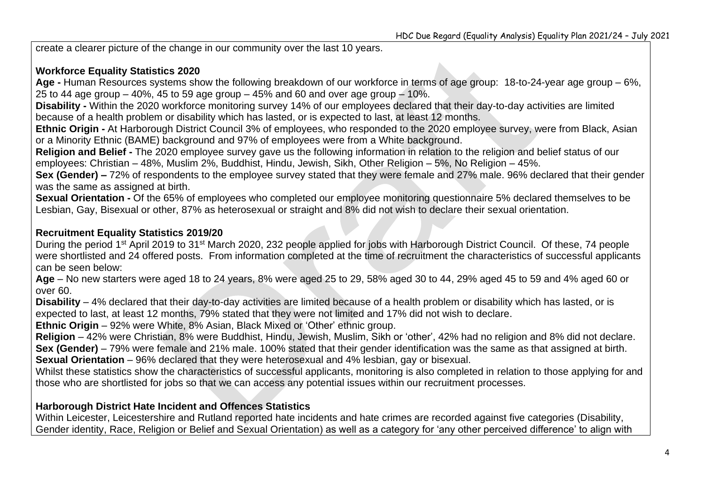create a clearer picture of the change in our community over the last 10 years.

#### **Workforce Equality Statistics 2020**

**Age -** Human Resources systems show the following breakdown of our workforce in terms of age group: 18-to-24-year age group – 6%, 25 to 44 age group – 40%, 45 to 59 age group – 45% and 60 and over age group – 10%.

**Disability -** Within the 2020 workforce monitoring survey 14% of our employees declared that their day-to-day activities are limited because of a health problem or disability which has lasted, or is expected to last, at least 12 months.

**Ethnic Origin -** At Harborough District Council 3% of employees, who responded to the 2020 employee survey, were from Black, Asian or a Minority Ethnic (BAME) background and 97% of employees were from a White background.

**Religion and Belief -** The 2020 employee survey gave us the following information in relation to the religion and belief status of our employees: Christian – 48%, Muslim 2%, Buddhist, Hindu, Jewish, Sikh, Other Religion – 5%, No Religion – 45%.

**Sex (Gender) –** 72% of respondents to the employee survey stated that they were female and 27% male. 96% declared that their gender was the same as assigned at birth.

**Sexual Orientation -** Of the 65% of employees who completed our employee monitoring questionnaire 5% declared themselves to be Lesbian, Gay, Bisexual or other, 87% as heterosexual or straight and 8% did not wish to declare their sexual orientation.

### **Recruitment Equality Statistics 2019/20**

During the period 1st April 2019 to 31st March 2020, 232 people applied for jobs with Harborough District Council. Of these, 74 people were shortlisted and 24 offered posts. From information completed at the time of recruitment the characteristics of successful applicants can be seen below:

**Age** – No new starters were aged 18 to 24 years, 8% were aged 25 to 29, 58% aged 30 to 44, 29% aged 45 to 59 and 4% aged 60 or over 60.

**Disability** – 4% declared that their day-to-day activities are limited because of a health problem or disability which has lasted, or is expected to last, at least 12 months, 79% stated that they were not limited and 17% did not wish to declare.

**Ethnic Origin** – 92% were White, 8% Asian, Black Mixed or 'Other' ethnic group.

**Religion** – 42% were Christian, 8% were Buddhist, Hindu, Jewish, Muslim, Sikh or 'other', 42% had no religion and 8% did not declare. **Sex (Gender)** – 79% were female and 21% male. 100% stated that their gender identification was the same as that assigned at birth.

**Sexual Orientation** – 96% declared that they were heterosexual and 4% lesbian, gay or bisexual.

Whilst these statistics show the characteristics of successful applicants, monitoring is also completed in relation to those applying for and those who are shortlisted for jobs so that we can access any potential issues within our recruitment processes.

#### **Harborough District Hate Incident and Offences Statistics**

Within Leicester, Leicestershire and Rutland reported hate incidents and hate crimes are recorded against five categories (Disability, Gender identity, Race, Religion or Belief and Sexual Orientation) as well as a category for 'any other perceived difference' to align with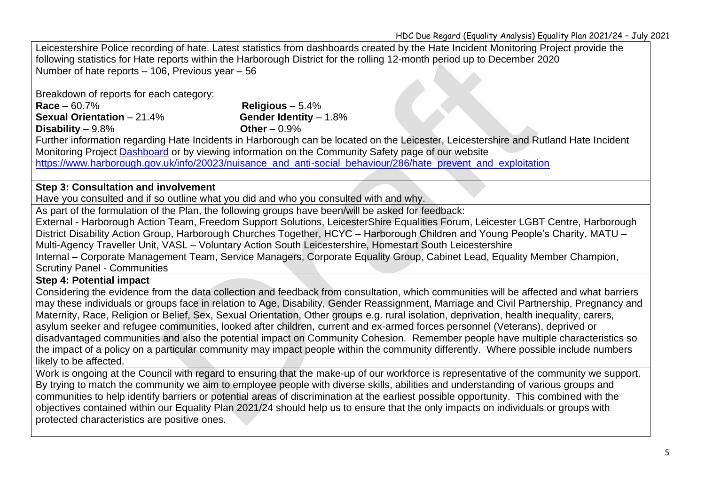Leicestershire Police recording of hate. Latest statistics from dashboards created by the Hate Incident Monitoring Project provide the following statistics for Hate reports within the Harborough District for the rolling 12-month period up to December 2020 Number of hate reports – 106, Previous year – 56

Breakdown of reports for each category:

**Race** – 60.7% **Religious** – 5.4% **Sexual Orientation** – 21.4% **Gender Identity** – 1.8% **Disability** – 9.8% **Other** – 0.9%

Further information regarding Hate Incidents in Harborough can be located on the Leicester, Leicestershire and Rutland Hate Incident Monitoring Project [Dashboard](https://gbr01.safelinks.protection.outlook.com/?url=https%3A%2F%2Fpublic.tableau.com%2Fviews%2FLLRHIMPDashboard%2FLOCALITYDASHBOARD%3F%3Alanguage%3Den-GB%26%3Adisplay_count%3Dy%26%3AshowVizHome%3Dno&data=04%7C01%7CJ.Clarke%40harborough.gov.uk%7C30ed22b1ba9c47f80d0508d93a1e6c9c%7C56632edb098b43f39e288985e98f5f89%7C0%7C0%7C637604724723518934%7CUnknown%7CTWFpbGZsb3d8eyJWIjoiMC4wLjAwMDAiLCJQIjoiV2luMzIiLCJBTiI6Ik1haWwiLCJXVCI6Mn0%3D%7C1000&sdata=v6HlrYUw62X8PV9JjTeFkdpTbobq%2FuDCFr8YPoT7A%2Bw%3D&reserved=0) or by viewing information on the Community Safety page of our website [https://www.harborough.gov.uk/info/20023/nuisance\\_and\\_anti-social\\_behaviour/286/hate\\_prevent\\_and\\_exploitation](https://www.harborough.gov.uk/info/20023/nuisance_and_anti-social_behaviour/286/hate_prevent_and_exploitation)

#### **Step 3: Consultation and involvement**

Have you consulted and if so outline what you did and who you consulted with and why.

As part of the formulation of the Plan, the following groups have been/will be asked for feedback:

External - Harborough Action Team, Freedom Support Solutions, LeicesterShire Equalities Forum, Leicester LGBT Centre, Harborough District Disability Action Group, Harborough Churches Together, HCYC – Harborough Children and Young People's Charity, MATU – Multi-Agency Traveller Unit, VASL – Voluntary Action South Leicestershire, Homestart South Leicestershire Internal – Corporate Management Team, Service Managers, Corporate Equality Group, Cabinet Lead, Equality Member Champion,

Scrutiny Panel - Communities

#### **Step 4: Potential impact**

Considering the evidence from the data collection and feedback from consultation, which communities will be affected and what barriers may these individuals or groups face in relation to Age, Disability, Gender Reassignment, Marriage and Civil Partnership, Pregnancy and Maternity, Race, Religion or Belief, Sex, Sexual Orientation, Other groups e.g. rural isolation, deprivation, health inequality, carers, asylum seeker and refugee communities, looked after children, current and ex-armed forces personnel (Veterans), deprived or disadvantaged communities and also the potential impact on Community Cohesion. Remember people have multiple characteristics so the impact of a policy on a particular community may impact people within the community differently. Where possible include numbers likely to be affected.

Work is ongoing at the Council with regard to ensuring that the make-up of our workforce is representative of the community we support. By trying to match the community we aim to employee people with diverse skills, abilities and understanding of various groups and communities to help identify barriers or potential areas of discrimination at the earliest possible opportunity. This combined with the objectives contained within our Equality Plan 2021/24 should help us to ensure that the only impacts on individuals or groups with protected characteristics are positive ones.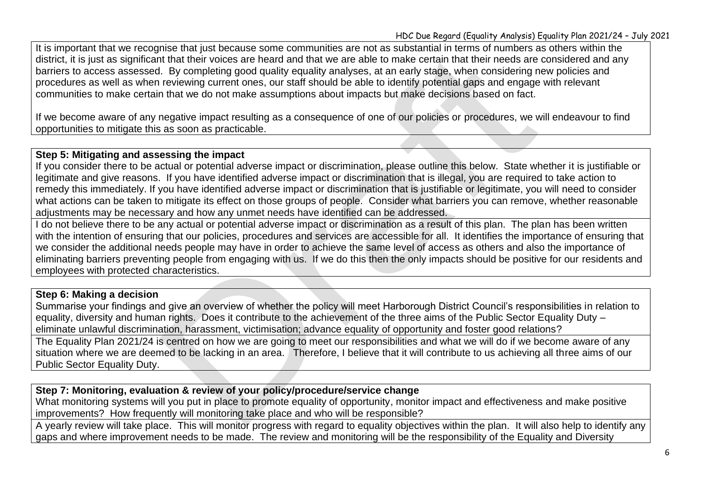It is important that we recognise that just because some communities are not as substantial in terms of numbers as others within the district, it is just as significant that their voices are heard and that we are able to make certain that their needs are considered and any barriers to access assessed. By completing good quality equality analyses, at an early stage, when considering new policies and procedures as well as when reviewing current ones, our staff should be able to identify potential gaps and engage with relevant communities to make certain that we do not make assumptions about impacts but make decisions based on fact.

If we become aware of any negative impact resulting as a consequence of one of our policies or procedures, we will endeavour to find opportunities to mitigate this as soon as practicable.

#### **Step 5: Mitigating and assessing the impact**

If you consider there to be actual or potential adverse impact or discrimination, please outline this below. State whether it is justifiable or legitimate and give reasons. If you have identified adverse impact or discrimination that is illegal, you are required to take action to remedy this immediately. If you have identified adverse impact or discrimination that is justifiable or legitimate, you will need to consider what actions can be taken to mitigate its effect on those groups of people. Consider what barriers you can remove, whether reasonable adjustments may be necessary and how any unmet needs have identified can be addressed.

I do not believe there to be any actual or potential adverse impact or discrimination as a result of this plan. The plan has been written with the intention of ensuring that our policies, procedures and services are accessible for all. It identifies the importance of ensuring that we consider the additional needs people may have in order to achieve the same level of access as others and also the importance of eliminating barriers preventing people from engaging with us. If we do this then the only impacts should be positive for our residents and employees with protected characteristics.

#### **Step 6: Making a decision**

Summarise your findings and give an overview of whether the policy will meet Harborough District Council's responsibilities in relation to equality, diversity and human rights. Does it contribute to the achievement of the three aims of the Public Sector Equality Duty – eliminate unlawful discrimination, harassment, victimisation; advance equality of opportunity and foster good relations?

The Equality Plan 2021/24 is centred on how we are going to meet our responsibilities and what we will do if we become aware of any situation where we are deemed to be lacking in an area. Therefore, I believe that it will contribute to us achieving all three aims of our Public Sector Equality Duty.

#### **Step 7: Monitoring, evaluation & review of your policy/procedure/service change**

What monitoring systems will you put in place to promote equality of opportunity, monitor impact and effectiveness and make positive improvements? How frequently will monitoring take place and who will be responsible?

A yearly review will take place. This will monitor progress with regard to equality objectives within the plan. It will also help to identify any gaps and where improvement needs to be made. The review and monitoring will be the responsibility of the Equality and Diversity